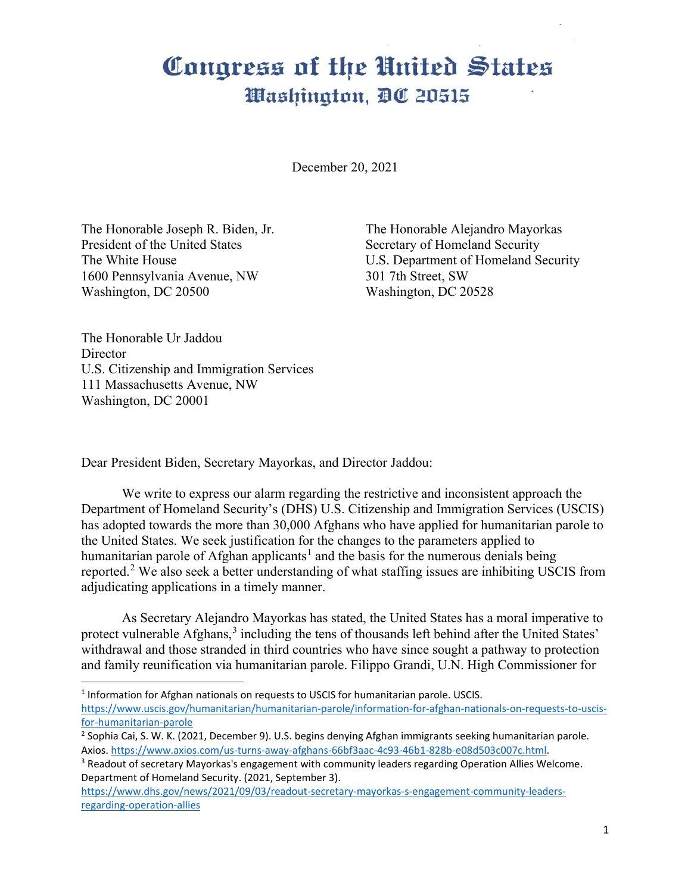## Congress of the United States Washington, DC 20515

December 20, 2021

The Honorable Joseph R. Biden, Jr. President of the United States The White House 1600 Pennsylvania Avenue, NW Washington, DC 20500

The Honorable Alejandro Mayorkas Secretary of Homeland Security U.S. Department of Homeland Security 301 7th Street, SW Washington, DC 20528

The Honorable Ur Jaddou **Director** U.S. Citizenship and Immigration Services 111 Massachusetts Avenue, NW Washington, DC 20001

Dear President Biden, Secretary Mayorkas, and Director Jaddou:

We write to express our alarm regarding the restrictive and inconsistent approach the Department of Homeland Security's (DHS) U.S. Citizenship and Immigration Services (USCIS) has adopted towards the more than 30,000 Afghans who have applied for humanitarian parole to the United States. We seek justification for the changes to the parameters applied to humanitarian parole of Afghan applicants<sup>[1](#page-0-0)</sup> and the basis for the numerous denials being reported.<sup>[2](#page-0-1)</sup> We also seek a better understanding of what staffing issues are inhibiting USCIS from adjudicating applications in a timely manner.

As Secretary Alejandro Mayorkas has stated, the United States has a moral imperative to protect vulnerable Afghans,<sup>[3](#page-0-2)</sup> including the tens of thousands left behind after the United States' withdrawal and those stranded in third countries who have since sought a pathway to protection and family reunification via humanitarian parole. Filippo Grandi, U.N. High Commissioner for

<span id="page-0-0"></span><sup>1</sup> Information for Afghan nationals on requests to USCIS for humanitarian parole. USCIS.

[https://www.uscis.gov/humanitarian/humanitarian-parole/information-for-afghan-nationals-on-requests-to-uscis](https://www.uscis.gov/humanitarian/humanitarian-parole/information-for-afghan-nationals-on-requests-to-uscis-for-humanitarian-parole)[for-humanitarian-parole](https://www.uscis.gov/humanitarian/humanitarian-parole/information-for-afghan-nationals-on-requests-to-uscis-for-humanitarian-parole)

[https://www.dhs.gov/news/2021/09/03/readout-secretary-mayorkas-s-engagement-community-leaders](https://www.dhs.gov/news/2021/09/03/readout-secretary-mayorkas-s-engagement-community-leaders-regarding-operation-allies)[regarding-operation-allies](https://www.dhs.gov/news/2021/09/03/readout-secretary-mayorkas-s-engagement-community-leaders-regarding-operation-allies)

<span id="page-0-1"></span><sup>2</sup> Sophia Cai, S. W. K. (2021, December 9). U.S. begins denying Afghan immigrants seeking humanitarian parole. Axios[. https://www.axios.com/us-turns-away-afghans-66bf3aac-4c93-46b1-828b-e08d503c007c.html.](https://www.axios.com/us-turns-away-afghans-66bf3aac-4c93-46b1-828b-e08d503c007c.html)

<span id="page-0-2"></span><sup>&</sup>lt;sup>3</sup> Readout of secretary Mayorkas's engagement with community leaders regarding Operation Allies Welcome. Department of Homeland Security. (2021, September 3).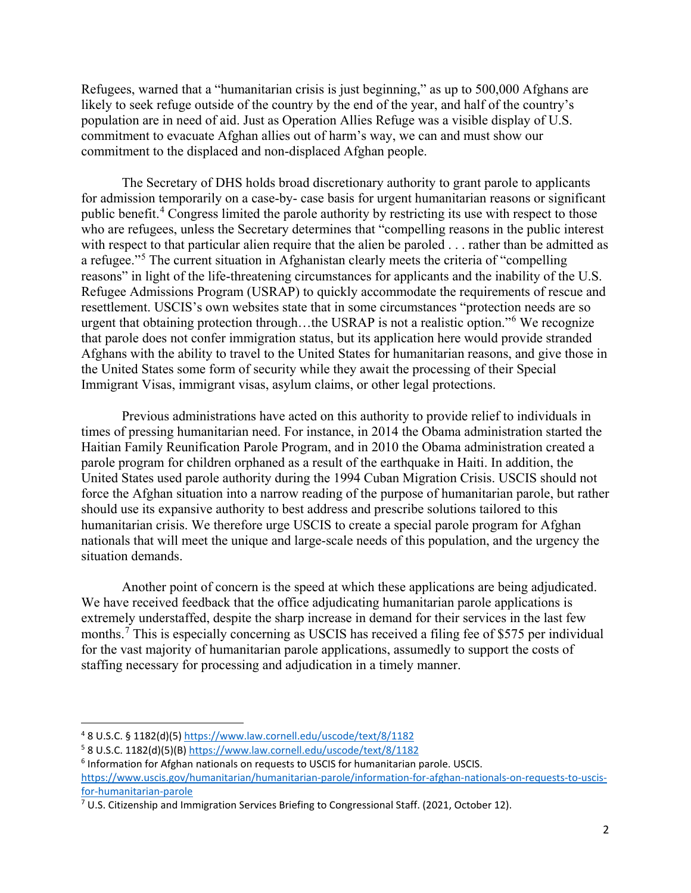Refugees, warned that a "humanitarian crisis is just beginning," as up to 500,000 Afghans are likely to seek refuge outside of the country by the end of the year, and half of the country's population are in need of aid. Just as Operation Allies Refuge was a visible display of U.S. commitment to evacuate Afghan allies out of harm's way, we can and must show our commitment to the displaced and non-displaced Afghan people.

The Secretary of DHS holds broad discretionary authority to grant parole to applicants for admission temporarily on a case-by- case basis for urgent humanitarian reasons or significant public benefit.[4](#page-1-0) Congress limited the parole authority by restricting its use with respect to those who are refugees, unless the Secretary determines that "compelling reasons in the public interest with respect to that particular alien require that the alien be paroled . . . rather than be admitted as a refugee."<sup>[5](#page-1-1)</sup> The current situation in Afghanistan clearly meets the criteria of "compelling" reasons" in light of the life-threatening circumstances for applicants and the inability of the U.S. Refugee Admissions Program (USRAP) to quickly accommodate the requirements of rescue and resettlement. USCIS's own websites state that in some circumstances "protection needs are so urgent that obtaining protection through...the USRAP is not a realistic option."<sup>[6](#page-1-2)</sup> We recognize that parole does not confer immigration status, but its application here would provide stranded Afghans with the ability to travel to the United States for humanitarian reasons, and give those in the United States some form of security while they await the processing of their Special Immigrant Visas, immigrant visas, asylum claims, or other legal protections.

Previous administrations have acted on this authority to provide relief to individuals in times of pressing humanitarian need. For instance, in 2014 the Obama administration started the Haitian Family Reunification Parole Program, and in 2010 the Obama administration created a parole program for children orphaned as a result of the earthquake in Haiti. In addition, the United States used parole authority during the 1994 Cuban Migration Crisis. USCIS should not force the Afghan situation into a narrow reading of the purpose of humanitarian parole, but rather should use its expansive authority to best address and prescribe solutions tailored to this humanitarian crisis. We therefore urge USCIS to create a special parole program for Afghan nationals that will meet the unique and large-scale needs of this population, and the urgency the situation demands.

Another point of concern is the speed at which these applications are being adjudicated. We have received feedback that the office adjudicating humanitarian parole applications is extremely understaffed, despite the sharp increase in demand for their services in the last few months.<sup>[7](#page-1-3)</sup> This is especially concerning as USCIS has received a filing fee of \$575 per individual for the vast majority of humanitarian parole applications, assumedly to support the costs of staffing necessary for processing and adjudication in a timely manner.

<span id="page-1-0"></span> <sup>4</sup> 8 U.S.C. § 1182(d)(5[\) https://www.law.cornell.edu/uscode/text/8/1182](https://www.law.cornell.edu/uscode/text/8/1182)

<span id="page-1-1"></span><sup>5</sup> 8 U.S.C. 1182(d)(5)(B[\) https://www.law.cornell.edu/uscode/text/8/1182](https://www.law.cornell.edu/uscode/text/8/1182)

<span id="page-1-2"></span><sup>&</sup>lt;sup>6</sup> Information for Afghan nationals on requests to USCIS for humanitarian parole. USCIS.

[https://www.uscis.gov/humanitarian/humanitarian-parole/information-for-afghan-nationals-on-requests-to-uscis](https://www.uscis.gov/humanitarian/humanitarian-parole/information-for-afghan-nationals-on-requests-to-uscis-for-humanitarian-parole)[for-humanitarian-parole](https://www.uscis.gov/humanitarian/humanitarian-parole/information-for-afghan-nationals-on-requests-to-uscis-for-humanitarian-parole)

<span id="page-1-3"></span> $7$  U.S. Citizenship and Immigration Services Briefing to Congressional Staff. (2021, October 12).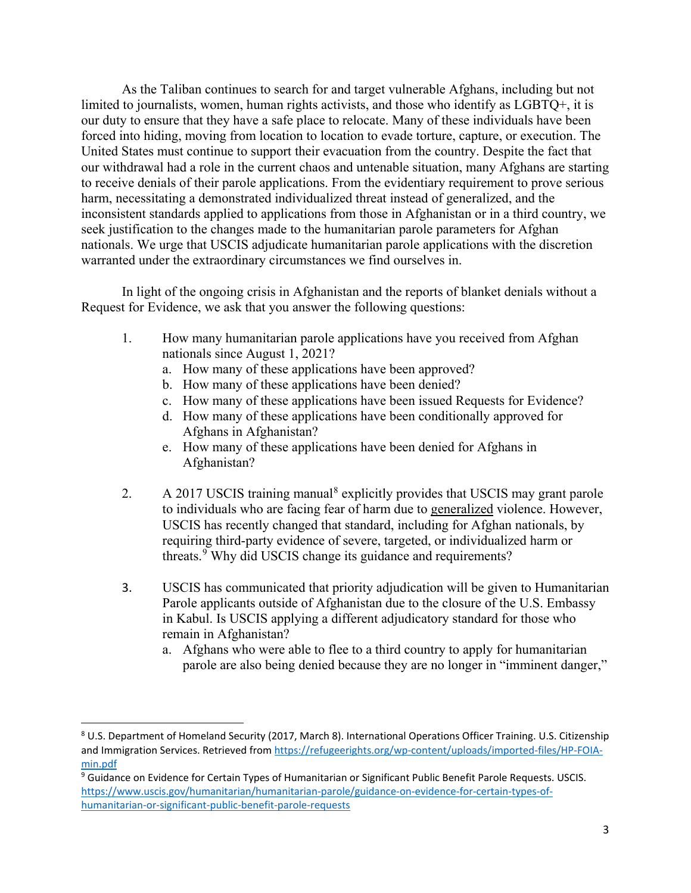As the Taliban continues to search for and target vulnerable Afghans, including but not limited to journalists, women, human rights activists, and those who identify as LGBTQ+, it is our duty to ensure that they have a safe place to relocate. Many of these individuals have been forced into hiding, moving from location to location to evade torture, capture, or execution. The United States must continue to support their evacuation from the country. Despite the fact that our withdrawal had a role in the current chaos and untenable situation, many Afghans are starting to receive denials of their parole applications. From the evidentiary requirement to prove serious harm, necessitating a demonstrated individualized threat instead of generalized, and the inconsistent standards applied to applications from those in Afghanistan or in a third country, we seek justification to the changes made to the humanitarian parole parameters for Afghan nationals. We urge that USCIS adjudicate humanitarian parole applications with the discretion warranted under the extraordinary circumstances we find ourselves in.

In light of the ongoing crisis in Afghanistan and the reports of blanket denials without a Request for Evidence, we ask that you answer the following questions:

- 1. How many humanitarian parole applications have you received from Afghan nationals since August 1, 2021?
	- a. How many of these applications have been approved?
	- b. How many of these applications have been denied?
	- c. How many of these applications have been issued Requests for Evidence?
	- d. How many of these applications have been conditionally approved for Afghans in Afghanistan?
	- e. How many of these applications have been denied for Afghans in Afghanistan?
- 2. A 2017 USCIS training manual<sup>[8](#page-2-0)</sup> explicitly provides that USCIS may grant parole to individuals who are facing fear of harm due to generalized violence. However, USCIS has recently changed that standard, including for Afghan nationals, by requiring third-party evidence of severe, targeted, or individualized harm or threats.<sup>[9](#page-2-1)</sup> Why did USCIS change its guidance and requirements?
- 3. USCIS has communicated that priority adjudication will be given to Humanitarian Parole applicants outside of Afghanistan due to the closure of the U.S. Embassy in Kabul. Is USCIS applying a different adjudicatory standard for those who remain in Afghanistan?
	- a. Afghans who were able to flee to a third country to apply for humanitarian parole are also being denied because they are no longer in "imminent danger,"

<span id="page-2-0"></span> <sup>8</sup> U.S. Department of Homeland Security (2017, March 8). International Operations Officer Training. U.S. Citizenship and Immigration Services. Retrieved from [https://refugeerights.org/wp-content/uploads/imported-files/HP-FOIA](https://refugeerights.org/wp-content/uploads/imported-files/HP-FOIA-min.pdf)[min.pdf](https://refugeerights.org/wp-content/uploads/imported-files/HP-FOIA-min.pdf)

<span id="page-2-1"></span><sup>9</sup> Guidance on Evidence for Certain Types of Humanitarian or Significant Public Benefit Parole Requests. USCIS. [https://www.uscis.gov/humanitarian/humanitarian-parole/guidance-on-evidence-for-certain-types-of](https://www.uscis.gov/humanitarian/humanitarian-parole/guidance-on-evidence-for-certain-types-of-humanitarian-or-significant-public-benefit-parole-requests)[humanitarian-or-significant-public-benefit-parole-requests](https://www.uscis.gov/humanitarian/humanitarian-parole/guidance-on-evidence-for-certain-types-of-humanitarian-or-significant-public-benefit-parole-requests)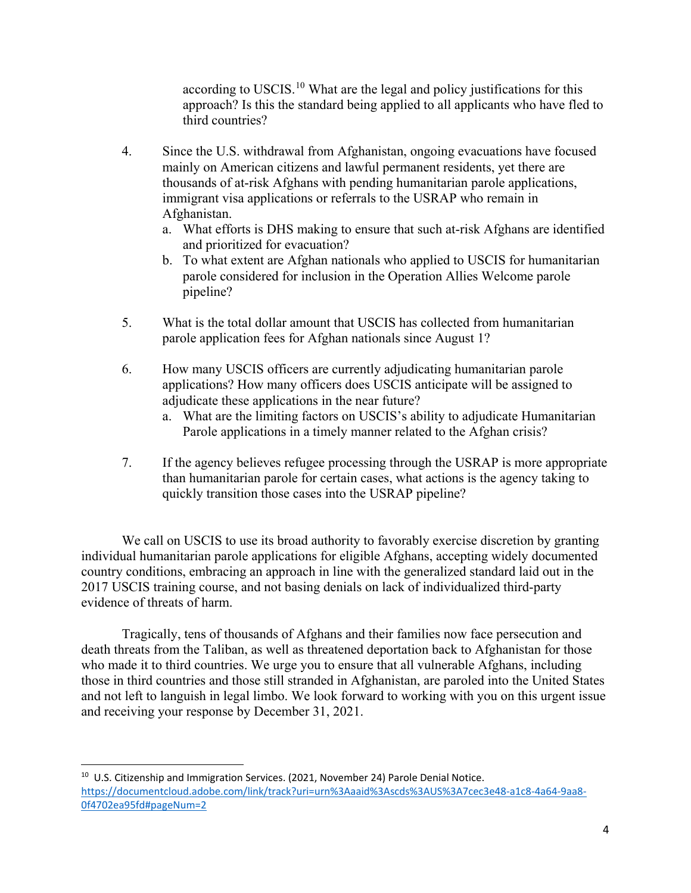according to USCIS.[10](#page-3-0) What are the legal and policy justifications for this approach? Is this the standard being applied to all applicants who have fled to third countries?

- 4. Since the U.S. withdrawal from Afghanistan, ongoing evacuations have focused mainly on American citizens and lawful permanent residents, yet there are thousands of at-risk Afghans with pending humanitarian parole applications, immigrant visa applications or referrals to the USRAP who remain in Afghanistan.
	- a. What efforts is DHS making to ensure that such at-risk Afghans are identified and prioritized for evacuation?
	- b. To what extent are Afghan nationals who applied to USCIS for humanitarian parole considered for inclusion in the Operation Allies Welcome parole pipeline?
- 5. What is the total dollar amount that USCIS has collected from humanitarian parole application fees for Afghan nationals since August 1?
- 6. How many USCIS officers are currently adjudicating humanitarian parole applications? How many officers does USCIS anticipate will be assigned to adjudicate these applications in the near future?
	- a. What are the limiting factors on USCIS's ability to adjudicate Humanitarian Parole applications in a timely manner related to the Afghan crisis?
- 7. If the agency believes refugee processing through the USRAP is more appropriate than humanitarian parole for certain cases, what actions is the agency taking to quickly transition those cases into the USRAP pipeline?

We call on USCIS to use its broad authority to favorably exercise discretion by granting individual humanitarian parole applications for eligible Afghans, accepting widely documented country conditions, embracing an approach in line with the generalized standard laid out in the 2017 USCIS training course, and not basing denials on lack of individualized third-party evidence of threats of harm.

Tragically, tens of thousands of Afghans and their families now face persecution and death threats from the Taliban, as well as threatened deportation back to Afghanistan for those who made it to third countries. We urge you to ensure that all vulnerable Afghans, including those in third countries and those still stranded in Afghanistan, are paroled into the United States and not left to languish in legal limbo. We look forward to working with you on this urgent issue and receiving your response by December 31, 2021.

<span id="page-3-0"></span> $10$  U.S. Citizenship and Immigration Services. (2021, November 24) Parole Denial Notice. [https://documentcloud.adobe.com/link/track?uri=urn%3Aaaid%3Ascds%3AUS%3A7cec3e48-a1c8-4a64-9aa8-](https://documentcloud.adobe.com/link/track?uri=urn%3Aaaid%3Ascds%3AUS%3A7cec3e48-a1c8-4a64-9aa8-0f4702ea95fd#pageNum=2) [0f4702ea95fd#pageNum=2](https://documentcloud.adobe.com/link/track?uri=urn%3Aaaid%3Ascds%3AUS%3A7cec3e48-a1c8-4a64-9aa8-0f4702ea95fd#pageNum=2)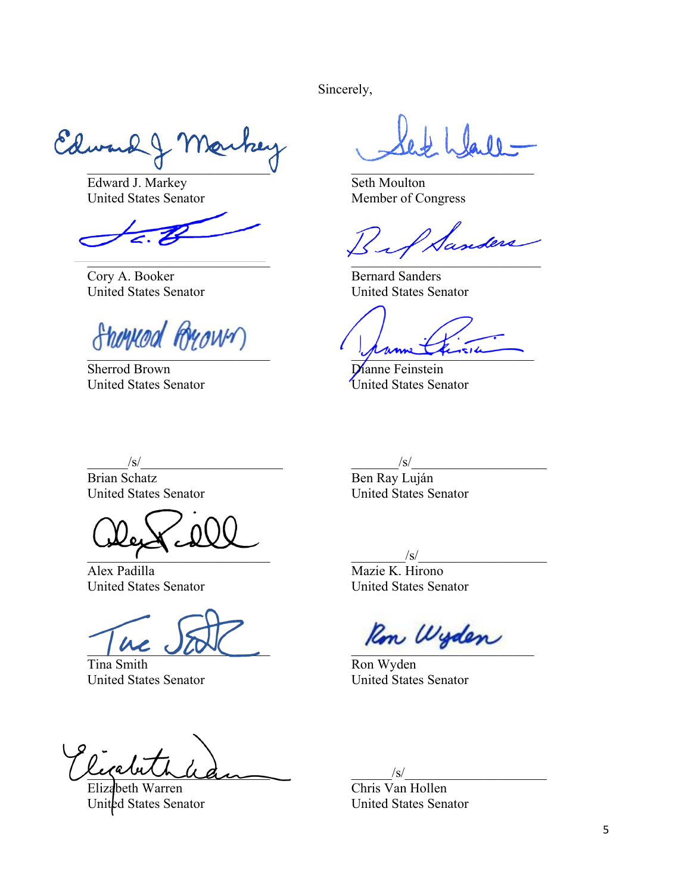Sincerely,

Edward J Mar

Edward J. Markey United States Senator

\_\_\_\_\_\_\_\_\_\_\_\_\_\_\_\_\_\_\_\_\_\_\_\_\_\_\_

Cory A. Booker United States Senator

 $\overline{\phantom{a}}$ 

Sherrod Brown United States Senator

 $\mathcal{L}=\mathcal{L}$  , where  $\mathcal{L}=\mathcal{L}$  , we have the set of the set of the set of the set of the set of the set of the set of the set of the set of the set of the set of the set of the set of the set of the set of the set

Seth Moulton Member of Congress

anders  $\mathcal{L}$  and  $\mathcal{L}$  and  $\mathcal{L}$  and  $\mathcal{L}$  and  $\mathcal{L}$ 

Bernard Sanders United States Senator

prime quince

Dianne Feinstein United States Senator

 $/\mathrm{s}/$ 

Brian Schatz United States Senator

 $\overline{a}$  ,  $\overline{a}$  ,  $\overline{a}$  ,  $\overline{a}$  ,  $\overline{a}$  ,  $\overline{a}$  ,  $\overline{a}$  ,  $\overline{a}$  ,  $\overline{a}$  ,  $\overline{a}$  ,  $\overline{a}$  ,  $\overline{a}$  ,  $\overline{a}$  ,  $\overline{a}$  ,  $\overline{a}$  ,  $\overline{a}$  ,  $\overline{a}$  ,  $\overline{a}$  ,  $\overline{a}$  ,  $\overline{a}$  ,

Alex Padilla United States Senator

 $\mu$  and  $\mu$ 

Tina Smith United States Senator

riponnhaden

Elizabeth Warren United States Senator

 $/\mathrm{s}/$ Ben Ray Luján United States Senator

 $\sqrt{s}$ / Mazie K. Hirono United States Senator

Ron Wyden

Ron Wyden United States Senator

 $/\mathrm{s}/$ 

Chris Van Hollen United States Senator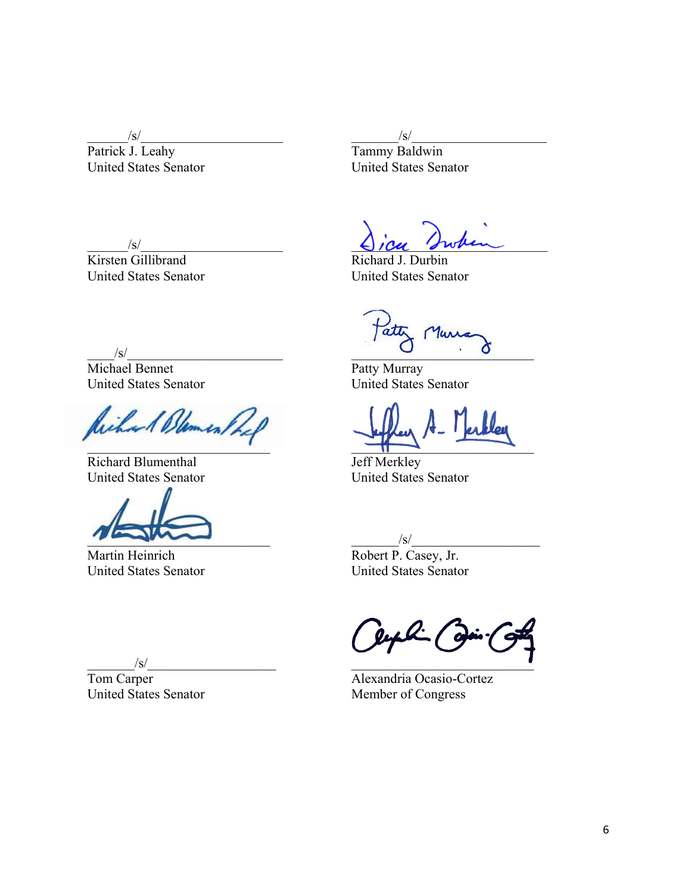$\sqrt{s/2}$ 

Patrick J. Leahy United States Senator

 $/\mathrm{s}/$ 

Kirsten Gillibrand United States Senator

 $\sqrt{s}$ / Tammy Baldwin United States Senator

 $\bigcup$  10u Swhen

Richard J. Durbin United States Senator

 $/\mathrm{s}/$ 

Michael Bennet United States Senator

Richard Blement  $\mathcal{L}_\text{max} = \mathcal{L}_\text{max}$  , where  $\mathcal{L}_\text{max} = \mathcal{L}_\text{max}$ 

Richard Blumenthal United States Senator

 $\overline{\phantom{a}}$ 

Martin Heinrich United States Senator

Tatty Murra  $\overline{\phantom{a}}$ 

Patty Murray United States Senator

 $\overline{\phantom{a}}$ 

Jeff Merkley United States Senator

 $\sqrt{s}/$ Robert P. Casey, Jr. United States Senator

 $\mathcal{L}_\text{max}$  , where  $\mathcal{L}_\text{max}$ 

Alexandria Ocasio-Cortez Member of Congress

 $\sqrt{s}/$ 

Tom Carper United States Senator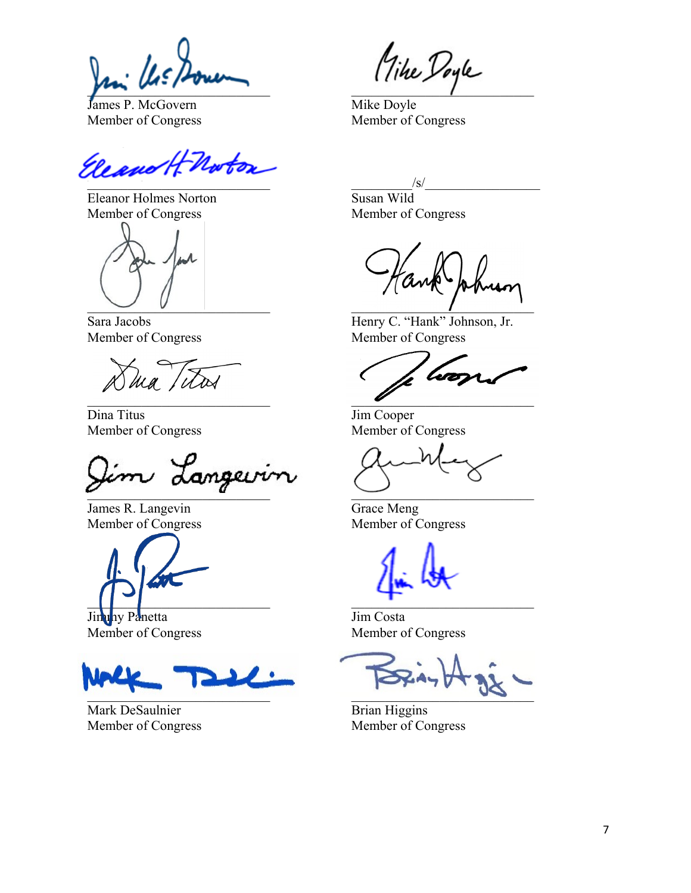$\frac{1}{2}$ 

James P. McGovern Member of Congress

Eleano H-Norton  $\frac{1}{2}$ 

Eleanor Holmes Norton Member of Congress

 $\cup$   $\cup$ 

Sara Jacobs Member of Congress

ma titas

Dina Titus Member of Congress

 $\overline{a}$ 

James R. Langevin Member of Congress

 $\Box$ 

Jimuny Panetta Member of Congress



Mark DeSaulnier Member of Congress

\_\_\_\_\_\_\_\_\_\_\_\_\_\_\_\_\_\_\_\_\_\_\_\_\_\_\_

Mike Doyle Member of Congress

 $/\mathrm{s}/\mathrm{s}$ 

Susan Wild Member of Congress

 $\mathcal{L}_\text{max}$  , which is a set of  $\mathcal{L}_\text{max}$ 

Henry C. "Hank" Johnson, Jr. Member of Congress

 $\overline{a}$ 

Jim Cooper Member of Congress

 $\overline{\phantom{a}}$ 

Grace Meng Member of Congress

 $\blacksquare$ 

Jim Costa Member of Congress

j  $\sim$ 

Brian Higgins Member of Congress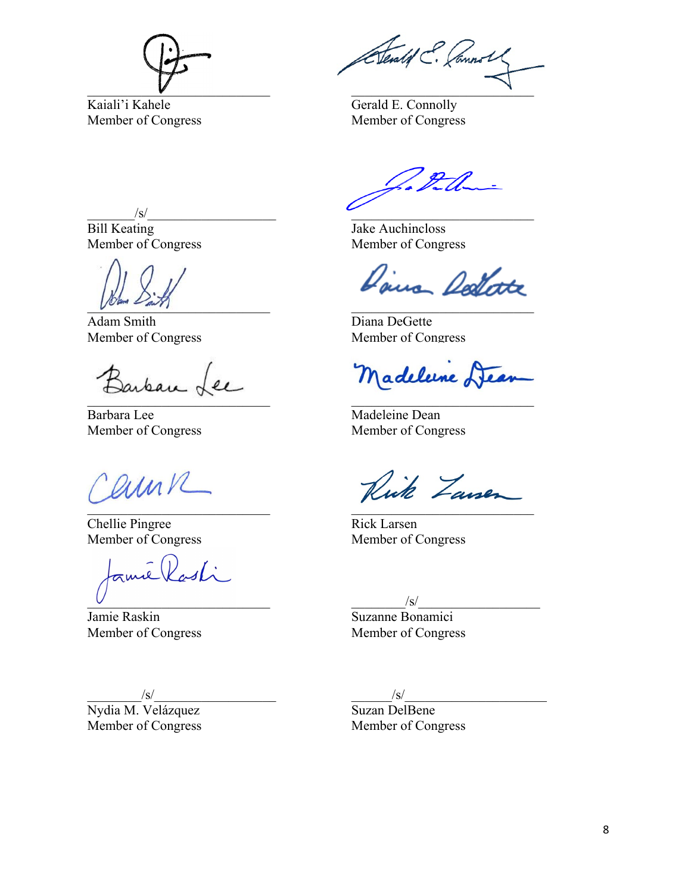

Kaiali'i Kahele Member of Congress

Atentif E. Connol  $\mathcal{L}$ 

Gerald E. Connolly Member of Congress

 $\sqrt{s/2}$ 

Bill Keating Member of Congress

 $\bigcup_{i\in\mathbb{N}}\mathbb{Z}_{n-i}$ 

Adam Smith Member of Congress

Barban Lee  $\sim$ 

Barbara Lee Member of Congress

Carne  $\mathcal{L}$  and  $\mathcal{L}$  and  $\mathcal{L}$  and  $\mathcal{L}$  and  $\mathcal{L}$ 

Chellie Pingree Member of Congress

amic Rasti  $\cup$ 

Jamie Raskin Member of Congress

 $\sqrt{s}/$ 

Nydia M. Velázquez Member of Congress

 $\mathcal{L}_\text{max}$  and  $\mathcal{L}_\text{max}$  and  $\mathcal{L}_\text{max}$ 

Jake Auchincloss Member of Congress

Dans Delate \_\_\_\_\_\_\_\_\_\_\_\_\_\_\_\_\_\_\_\_\_\_\_\_\_\_\_

Diana DeGette Member of Congress

Madelune Lear

Madeleine Dean Member of Congress

Rick Zausen \_\_\_\_\_\_\_\_\_\_\_\_\_\_\_\_\_\_\_\_\_\_\_\_\_\_\_

Rick Larsen Member of Congress

 $\sqrt{s}/$ 

Suzanne Bonamici Member of Congress

 $\frac{1}{s}$ 

Suzan DelBene Member of Congress